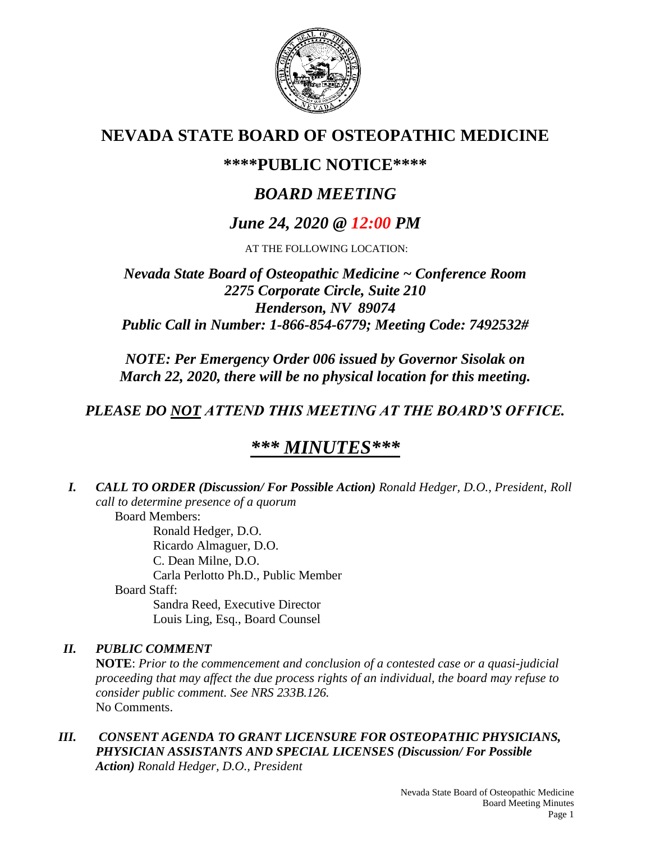

# **NEVADA STATE BOARD OF OSTEOPATHIC MEDICINE**

## **\*\*\*\*PUBLIC NOTICE\*\*\*\***

# *BOARD MEETING*

# *June 24, 2020 @ 12:00 PM*

AT THE FOLLOWING LOCATION:

## *Nevada State Board of Osteopathic Medicine ~ Conference Room 2275 Corporate Circle, Suite 210 Henderson, NV 89074 Public Call in Number: 1-866-854-6779; Meeting Code: 7492532#*

*NOTE: Per Emergency Order 006 issued by Governor Sisolak on March 22, 2020, there will be no physical location for this meeting.*

## *PLEASE DO NOT ATTEND THIS MEETING AT THE BOARD'S OFFICE.*

# *\*\*\* MINUTES\*\*\**

*I. CALL TO ORDER (Discussion/ For Possible Action) Ronald Hedger, D.O., President, Roll call to determine presence of a quorum* Board Members:

Ronald Hedger, D.O. Ricardo Almaguer, D.O. C. Dean Milne, D.O. Carla Perlotto Ph.D., Public Member Board Staff: Sandra Reed, Executive Director Louis Ling, Esq., Board Counsel

## *II. PUBLIC COMMENT*

**NOTE**: *Prior to the commencement and conclusion of a contested case or a quasi-judicial proceeding that may affect the due process rights of an individual, the board may refuse to consider public comment. See NRS 233B.126.* No Comments.

*III. CONSENT AGENDA TO GRANT LICENSURE FOR OSTEOPATHIC PHYSICIANS, PHYSICIAN ASSISTANTS AND SPECIAL LICENSES (Discussion/ For Possible Action) Ronald Hedger, D.O., President*